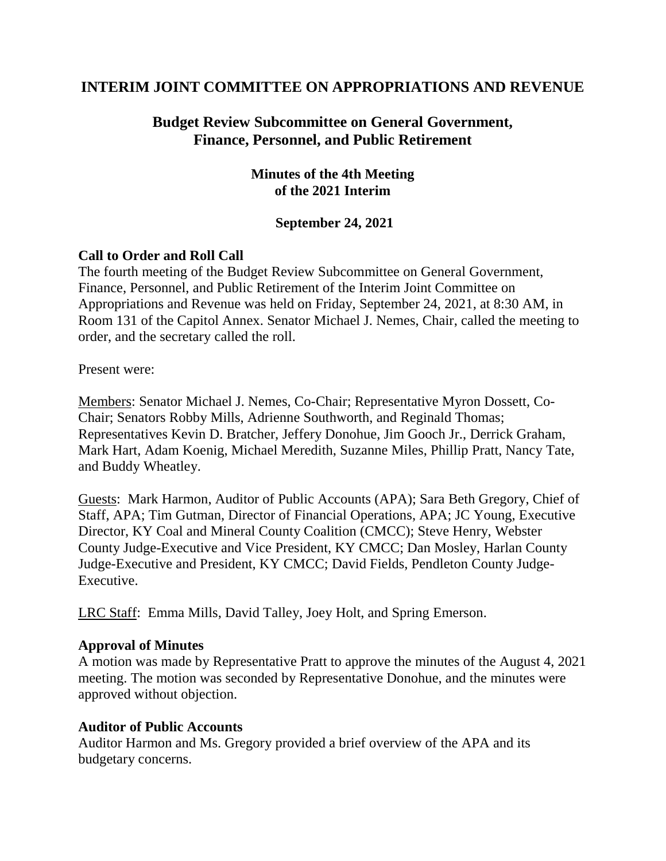# **INTERIM JOINT COMMITTEE ON APPROPRIATIONS AND REVENUE**

# **Budget Review Subcommittee on General Government, Finance, Personnel, and Public Retirement**

## **Minutes of the 4th Meeting of the 2021 Interim**

#### **September 24, 2021**

## **Call to Order and Roll Call**

The fourth meeting of the Budget Review Subcommittee on General Government, Finance, Personnel, and Public Retirement of the Interim Joint Committee on Appropriations and Revenue was held on Friday, September 24, 2021, at 8:30 AM, in Room 131 of the Capitol Annex. Senator Michael J. Nemes, Chair, called the meeting to order, and the secretary called the roll.

Present were:

Members: Senator Michael J. Nemes, Co-Chair; Representative Myron Dossett, Co-Chair; Senators Robby Mills, Adrienne Southworth, and Reginald Thomas; Representatives Kevin D. Bratcher, Jeffery Donohue, Jim Gooch Jr., Derrick Graham, Mark Hart, Adam Koenig, Michael Meredith, Suzanne Miles, Phillip Pratt, Nancy Tate, and Buddy Wheatley.

Guests: Mark Harmon, Auditor of Public Accounts (APA); Sara Beth Gregory, Chief of Staff, APA; Tim Gutman, Director of Financial Operations, APA; JC Young, Executive Director, KY Coal and Mineral County Coalition (CMCC); Steve Henry, Webster County Judge-Executive and Vice President, KY CMCC; Dan Mosley, Harlan County Judge-Executive and President, KY CMCC; David Fields, Pendleton County Judge-Executive.

LRC Staff: Emma Mills, David Talley, Joey Holt, and Spring Emerson.

#### **Approval of Minutes**

A motion was made by Representative Pratt to approve the minutes of the August 4, 2021 meeting. The motion was seconded by Representative Donohue, and the minutes were approved without objection.

#### **Auditor of Public Accounts**

Auditor Harmon and Ms. Gregory provided a brief overview of the APA and its budgetary concerns.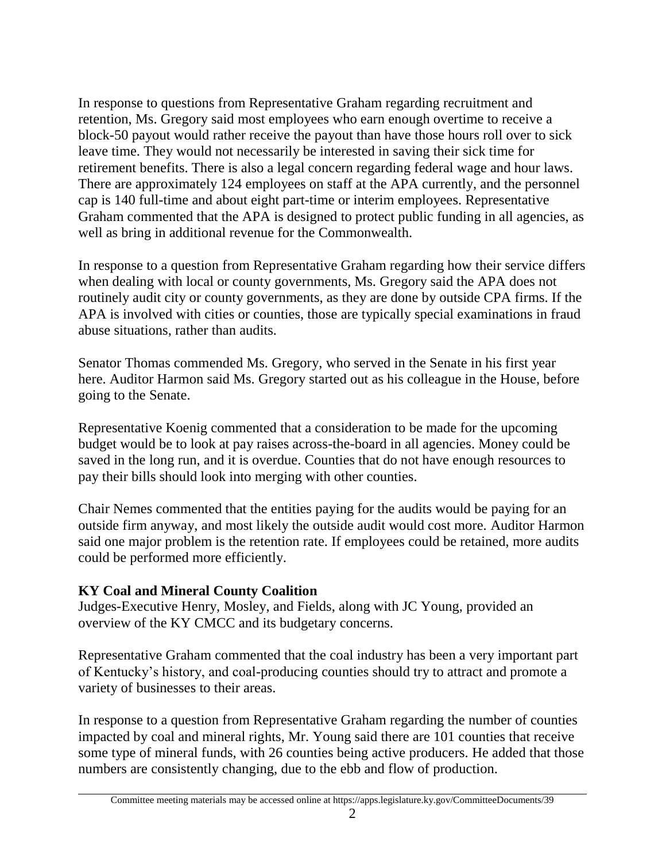In response to questions from Representative Graham regarding recruitment and retention, Ms. Gregory said most employees who earn enough overtime to receive a block-50 payout would rather receive the payout than have those hours roll over to sick leave time. They would not necessarily be interested in saving their sick time for retirement benefits. There is also a legal concern regarding federal wage and hour laws. There are approximately 124 employees on staff at the APA currently, and the personnel cap is 140 full-time and about eight part-time or interim employees. Representative Graham commented that the APA is designed to protect public funding in all agencies, as well as bring in additional revenue for the Commonwealth.

In response to a question from Representative Graham regarding how their service differs when dealing with local or county governments, Ms. Gregory said the APA does not routinely audit city or county governments, as they are done by outside CPA firms. If the APA is involved with cities or counties, those are typically special examinations in fraud abuse situations, rather than audits.

Senator Thomas commended Ms. Gregory, who served in the Senate in his first year here. Auditor Harmon said Ms. Gregory started out as his colleague in the House, before going to the Senate.

Representative Koenig commented that a consideration to be made for the upcoming budget would be to look at pay raises across-the-board in all agencies. Money could be saved in the long run, and it is overdue. Counties that do not have enough resources to pay their bills should look into merging with other counties.

Chair Nemes commented that the entities paying for the audits would be paying for an outside firm anyway, and most likely the outside audit would cost more. Auditor Harmon said one major problem is the retention rate. If employees could be retained, more audits could be performed more efficiently.

# **KY Coal and Mineral County Coalition**

Judges-Executive Henry, Mosley, and Fields, along with JC Young, provided an overview of the KY CMCC and its budgetary concerns.

Representative Graham commented that the coal industry has been a very important part of Kentucky's history, and coal-producing counties should try to attract and promote a variety of businesses to their areas.

In response to a question from Representative Graham regarding the number of counties impacted by coal and mineral rights, Mr. Young said there are 101 counties that receive some type of mineral funds, with 26 counties being active producers. He added that those numbers are consistently changing, due to the ebb and flow of production.